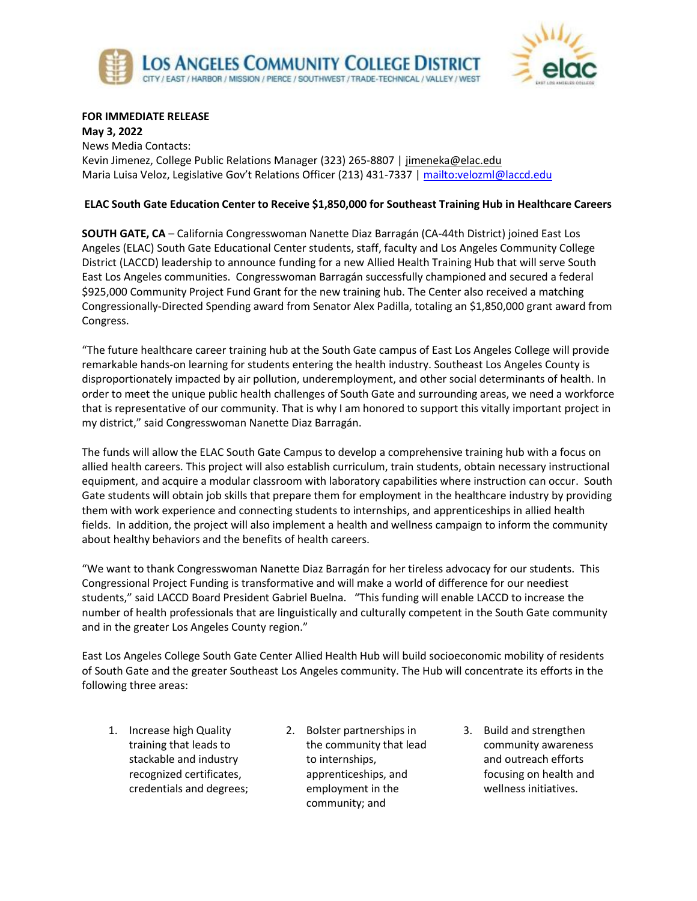



## **FOR IMMEDIATE RELEASE**

**May 3, 2022** News Media Contacts: Kevin Jimenez, College Public Relations Manager (323) 265-8807 | [jimeneka@elac.edu](mailto:jimeneka@elac.edu) Maria Luisa Veloz, Legislative Gov't Relations Officer (213) 431-7337 |<mailto:velozml@laccd.edu>

## **ELAC South Gate Education Center to Receive \$1,850,000 for Southeast Training Hub in Healthcare Careers**

**SOUTH GATE, CA** – California Congresswoman Nanette Diaz Barragán (CA-44th District) joined East Los Angeles (ELAC) South Gate Educational Center students, staff, faculty and Los Angeles Community College District (LACCD) leadership to announce funding for a new Allied Health Training Hub that will serve South East Los Angeles communities. Congresswoman Barragán successfully championed and secured a federal \$925,000 Community Project Fund Grant for the new training hub. The Center also received a matching Congressionally-Directed Spending award from Senator Alex Padilla, totaling an \$1,850,000 grant award from Congress.

"The future healthcare career training hub at the South Gate campus of East Los Angeles College will provide remarkable hands-on learning for students entering the health industry. Southeast Los Angeles County is disproportionately impacted by air pollution, underemployment, and other social determinants of health. In order to meet the unique public health challenges of South Gate and surrounding areas, we need a workforce that is representative of our community. That is why I am honored to support this vitally important project in my district," said Congresswoman Nanette Diaz Barragán.

The funds will allow the ELAC South Gate Campus to develop a comprehensive training hub with a focus on allied health careers. This project will also establish curriculum, train students, obtain necessary instructional equipment, and acquire a modular classroom with laboratory capabilities where instruction can occur. South Gate students will obtain job skills that prepare them for employment in the healthcare industry by providing them with work experience and connecting students to internships, and apprenticeships in allied health fields. In addition, the project will also implement a health and wellness campaign to inform the community about healthy behaviors and the benefits of health careers.

"We want to thank Congresswoman Nanette Diaz Barragán for her tireless advocacy for our students. This Congressional Project Funding is transformative and will make a world of difference for our neediest students," said LACCD Board President Gabriel Buelna. "This funding will enable LACCD to increase the number of health professionals that are linguistically and culturally competent in the South Gate community and in the greater Los Angeles County region."

East Los Angeles College South Gate Center Allied Health Hub will build socioeconomic mobility of residents of South Gate and the greater Southeast Los Angeles community. The Hub will concentrate its efforts in the following three areas:

- 1. Increase high Quality training that leads to stackable and industry recognized certificates, credentials and degrees;
- 2. Bolster partnerships in the community that lead to internships, apprenticeships, and employment in the community; and
- 3. Build and strengthen community awareness and outreach efforts focusing on health and wellness initiatives.